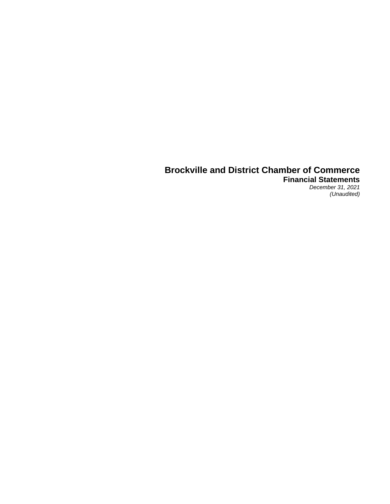**Financial Statements** *December 31, 2021*

*(Unaudited)*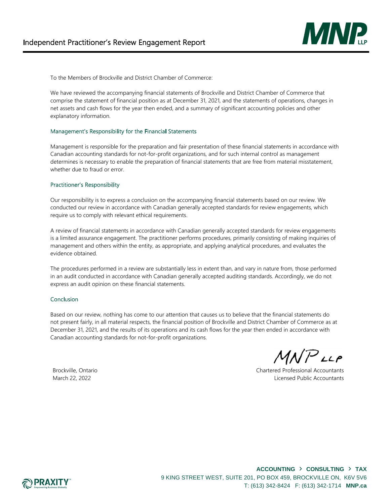

To the Members of Brockville and District Chamber of Commerce:

We have reviewed the accompanying financial statements of Brockville and District Chamber of Commerce that comprise the statement of financial position as at December 31, 2021, and the statements of operations, changes in net assets and cash flows for the year then ended, and a summary of significant accounting policies and other explanatory information.

### Management's Responsibility for the Financial Statements

Management is responsible for the preparation and fair presentation of these financial statements in accordance with Canadian accounting standards for not-for-profit organizations, and for such internal control as management determines is necessary to enable the preparation of financial statements that are free from material misstatement, whether due to fraud or error.

### **Practitioner's Responsibility**

Our responsibility is to express a conclusion on the accompanying financial statements based on our review. We conducted our review in accordance with Canadian generally accepted standards for review engagements, which require us to comply with relevant ethical requirements.

A review of financial statements in accordance with Canadian generally accepted standards for review engagements is a limited assurance engagement. The practitioner performs procedures, primarily consisting of making inquiries of management and others within the entity, as appropriate, and applying analytical procedures, and evaluates the evidence obtained.

The procedures performed in a review are substantially less in extent than, and vary in nature from, those performed in an audit conducted in accordance with Canadian generally accepted auditing standards. Accordingly, we do not express an audit opinion on these financial statements.

### Conclusion

Based on our review, nothing has come to our attention that causes us to believe that the financial statements do not present fairly, in all material respects, the financial position of Brockville and District Chamber of Commerce as at December 31, 2021, and the results of its operations and its cash flows for the year then ended in accordance with Canadian accounting standards for not-for-profit organizations.

MNPLLP

Brockville, Ontario Chartered Professional Accountants March 22, 2022 Licensed Public Accountants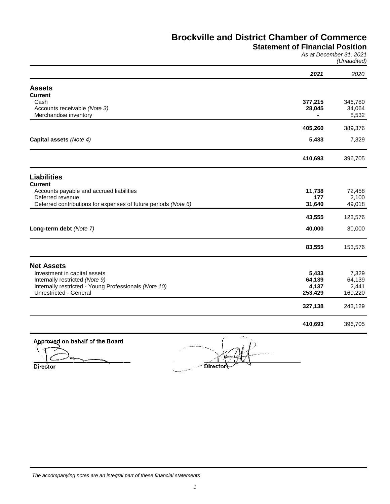# **Statement of Financial Position**

*As at December 31, 2021 (Unaudited)*

|                                                                                 | 2021              | 2020              |
|---------------------------------------------------------------------------------|-------------------|-------------------|
| <b>Assets</b>                                                                   |                   |                   |
| <b>Current</b>                                                                  |                   |                   |
| Cash<br>Accounts receivable (Note 3)                                            | 377,215<br>28,045 | 346,780<br>34,064 |
| Merchandise inventory                                                           |                   | 8,532             |
|                                                                                 | 405,260           | 389,376           |
| Capital assets (Note 4)                                                         | 5,433             | 7,329             |
|                                                                                 | 410,693           | 396,705           |
| <b>Liabilities</b>                                                              |                   |                   |
| <b>Current</b>                                                                  |                   |                   |
| Accounts payable and accrued liabilities<br>Deferred revenue                    | 11,738<br>177     | 72,458<br>2,100   |
| Deferred contributions for expenses of future periods (Note 6)                  | 31,640            | 49,018            |
|                                                                                 | 43,555            | 123,576           |
| Long-term debt (Note 7)                                                         | 40,000            | 30,000            |
|                                                                                 | 83,555            | 153,576           |
| <b>Net Assets</b>                                                               |                   |                   |
| Investment in capital assets                                                    | 5,433             | 7,329             |
| Internally restricted (Note 9)                                                  | 64,139            | 64,139            |
| Internally restricted - Young Professionals (Note 10)<br>Unrestricted - General | 4,137<br>253,429  | 2,441<br>169,220  |
|                                                                                 | 327,138           | 243,129           |
|                                                                                 |                   |                   |
|                                                                                 | 410,693           | 396,705           |

**Approved on behalf of the Board**

 $\overline{S}$   $\overline{S}$   $\overline{S}$   $\overline{S}$   $\overline{S}$   $\overline{S}$   $\overline{S}$   $\overline{S}$   $\overline{S}$   $\overline{S}$   $\overline{S}$   $\overline{S}$   $\overline{S}$   $\overline{S}$   $\overline{S}$   $\overline{S}$   $\overline{S}$   $\overline{S}$   $\overline{S}$   $\overline{S}$   $\overline{S}$   $\overline{S}$   $\overline{S}$   $\overline{S}$   $\overline{$ **Director Director**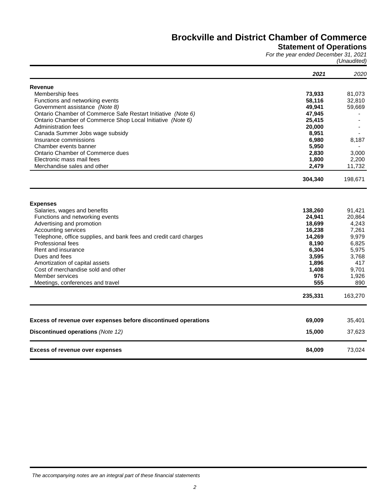### **Statement of Operations**

*For the year ended December 31, 2021 (Unaudited)*

|                                                                   | 2021    | 2020    |
|-------------------------------------------------------------------|---------|---------|
| <b>Revenue</b>                                                    |         |         |
| Membership fees                                                   | 73,933  | 81,073  |
| Functions and networking events                                   | 58,116  | 32,810  |
| Government assistance (Note 8)                                    | 49,941  | 59,669  |
| Ontario Chamber of Commerce Safe Restart Initiative (Note 6)      | 47,945  |         |
| Ontario Chamber of Commerce Shop Local Initiative (Note 6)        | 25,415  |         |
| Administration fees                                               | 20,000  |         |
| Canada Summer Jobs wage subsidy                                   | 8,951   |         |
| Insurance commissions                                             | 6,980   | 8,187   |
| Chamber events banner                                             | 5,950   |         |
| Ontario Chamber of Commerce dues                                  | 2,830   | 3,000   |
| Electronic mass mail fees                                         | 1,800   | 2,200   |
| Merchandise sales and other                                       | 2,479   | 11,732  |
|                                                                   |         |         |
|                                                                   | 304,340 | 198,671 |
| <b>Expenses</b>                                                   |         |         |
| Salaries, wages and benefits                                      | 138,260 | 91,421  |
| Functions and networking events                                   | 24,941  | 20,864  |
| Advertising and promotion                                         | 18,699  | 4,243   |
| Accounting services                                               | 16,238  | 7,261   |
| Telephone, office supplies, and bank fees and credit card charges | 14,269  | 9,979   |
| Professional fees                                                 | 8,190   | 6,825   |
| Rent and insurance                                                | 6,304   | 5,975   |
| Dues and fees                                                     | 3,595   | 3,768   |
| Amortization of capital assets                                    | 1,896   | 417     |
| Cost of merchandise sold and other                                | 1,408   | 9.701   |
| Member services                                                   | 976     | 1,926   |
| Meetings, conferences and travel                                  | 555     | 890     |
|                                                                   | 235,331 | 163,270 |
|                                                                   |         |         |
| Excess of revenue over expenses before discontinued operations    | 69,009  | 35,401  |
| Discontinued operations (Note 12)                                 | 15,000  | 37,623  |
| <b>Excess of revenue over expenses</b>                            | 84,009  | 73,024  |

*The accompanying notes are an integral part of these financial statements*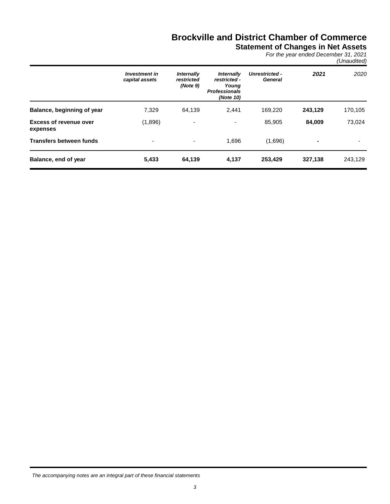**Statement of Changes in Net Assets**

*For the year ended December 31, 2021 (Unaudited)*

|                                           | <b>Investment in</b><br>capital assets | <b>Internally</b><br>restricted<br>(Note 9) | <i><b>Internally</b></i><br>restricted -<br>Young<br><b>Professionals</b><br>(Note 10) | <b>Unrestricted -</b><br>General | 2021    | 2020    |
|-------------------------------------------|----------------------------------------|---------------------------------------------|----------------------------------------------------------------------------------------|----------------------------------|---------|---------|
| Balance, beginning of year                | 7,329                                  | 64,139                                      | 2.441                                                                                  | 169,220                          | 243,129 | 170,105 |
| <b>Excess of revenue over</b><br>expenses | (1,896)                                | $\overline{\phantom{a}}$                    | ٠                                                                                      | 85,905                           | 84,009  | 73,024  |
| <b>Transfers between funds</b>            | $\overline{\phantom{a}}$               | ٠                                           | 1.696                                                                                  | (1,696)                          | ۰       |         |
| Balance, end of year                      | 5,433                                  | 64,139                                      | 4,137                                                                                  | 253,429                          | 327,138 | 243,129 |

*The accompanying notes are an integral part of these financial statements*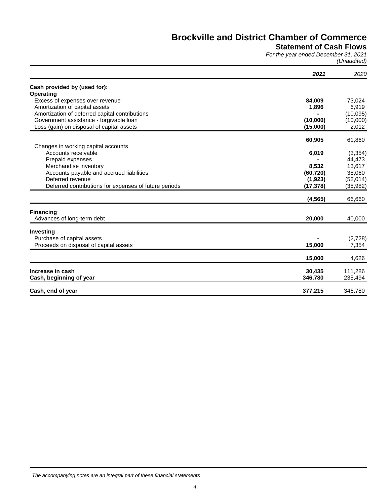# **Statement of Cash Flows**

*For the year ended December 31, 2021 (Unaudited)*

|                                                       | 2021              | 2020               |
|-------------------------------------------------------|-------------------|--------------------|
| Cash provided by (used for):                          |                   |                    |
| <b>Operating</b>                                      |                   |                    |
| Excess of expenses over revenue                       | 84,009            | 73,024             |
| Amortization of capital assets                        | 1,896             | 6,919              |
| Amortization of deferred capital contributions        |                   | (10,095)           |
| Government assistance - forgivable loan               | (10,000)          | (10,000)           |
| Loss (gain) on disposal of capital assets             | (15,000)          | 2,012              |
|                                                       | 60,905            | 61,860             |
| Changes in working capital accounts                   |                   |                    |
| Accounts receivable                                   | 6,019             | (3,354)            |
| Prepaid expenses                                      |                   | 44,473             |
| Merchandise inventory                                 | 8,532             | 13,617             |
| Accounts payable and accrued liabilities              | (60, 720)         | 38,060             |
| Deferred revenue                                      | (1,923)           | (52,014)           |
| Deferred contributions for expenses of future periods | (17, 378)         | (35, 982)          |
|                                                       | (4, 565)          | 66,660             |
| <b>Financing</b>                                      |                   |                    |
| Advances of long-term debt                            | 20,000            | 40,000             |
| Investing                                             |                   |                    |
| Purchase of capital assets                            |                   | (2,728)            |
| Proceeds on disposal of capital assets                | 15,000            | 7,354              |
|                                                       | 15,000            | 4,626              |
| Increase in cash                                      |                   |                    |
| Cash, beginning of year                               | 30,435<br>346,780 | 111,286<br>235,494 |
| Cash, end of year                                     | 377,215           | 346,780            |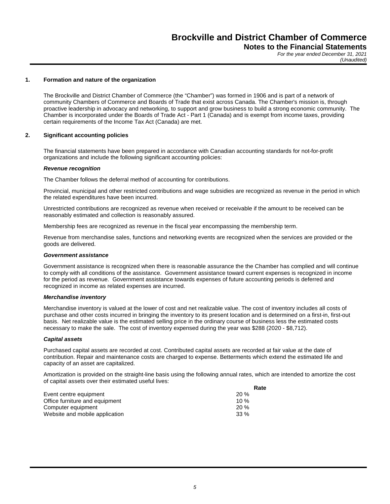*For the year ended December 31, 2021 (Unaudited)*

### **1. Formation and nature of the organization**

The Brockville and District Chamber of Commerce (the "Chamber") was formed in 1906 and is part of a network of community Chambers of Commerce and Boards of Trade that exist across Canada. The Chamber's mission is, through proactive leadership in advocacy and networking, to support and grow business to build a strong economic community. The Chamber is incorporated under the Boards of Trade Act - Part 1 (Canada) and is exempt from income taxes, providing certain requirements of the Income Tax Act (Canada) are met.

### **2. Significant accounting policies**

The financial statements have been prepared in accordance with Canadian accounting standards for not-for-profit organizations and include the following significant accounting policies:

### *Revenue recognition*

The Chamber follows the deferral method of accounting for contributions.

Provincial, municipal and other restricted contributions and wage subsidies are recognized as revenue in the period in which the related expenditures have been incurred.

Unrestricted contributions are recognized as revenue when received or receivable if the amount to be received can be reasonably estimated and collection is reasonably assured.

Membership fees are recognized as revenue in the fiscal year encompassing the membership term.

Revenue from merchandise sales, functions and networking events are recognized when the services are provided or the goods are delivered.

### *Government assistance*

Government assistance is recognized when there is reasonable assurance the the Chamber has complied and will continue to comply with all conditions of the assistance. Government assistance toward current expenses is recognized in income for the period as revenue. Government assistance towards expenses of future accounting periods is deferred and recognized in income as related expenses are incurred.

### *Merchandise inventory*

Merchandise inventory is valued at the lower of cost and net realizable value. The cost of inventory includes all costs of purchase and other costs incurred in bringing the inventory to its present location and is determined on a first-in, first-out basis. Net realizable value is the estimated selling price in the ordinary course of business less the estimated costs necessary to make the sale. The cost of inventory expensed during the year was \$288 (2020 - \$8,712).

### *Capital assets*

Purchased capital assets are recorded at cost. Contributed capital assets are recorded at fair value at the date of contribution. Repair and maintenance costs are charged to expense. Betterments which extend the estimated life and capacity of an asset are capitalized.

Amortization is provided on the straight-line basis using the following annual rates, which are intended to amortize the cost of capital assets over their estimated useful lives:

|                                | Rate   |
|--------------------------------|--------|
| Event centre equipment         | 20%    |
| Office furniture and equipment | 10 $%$ |
| Computer equipment             | 20%    |
| Website and mobile application | $33\%$ |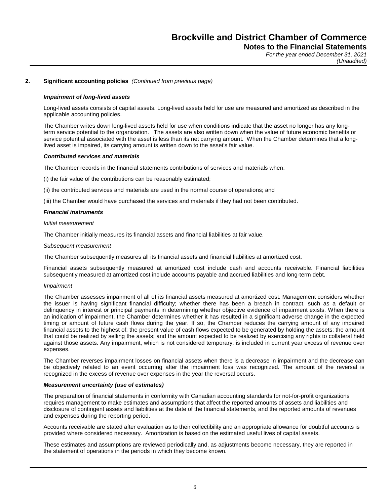*For the year ended December 31, 2021 (Unaudited)*

### **2. Significant accounting policies** *(Continued from previous page)*

### *Impairment of long-lived assets*

Long-lived assets consists of capital assets. Long-lived assets held for use are measured and amortized as described in the applicable accounting policies.

The Chamber writes down long-lived assets held for use when conditions indicate that the asset no longer has any longterm service potential to the organization. The assets are also written down when the value of future economic benefits or service potential associated with the asset is less than its net carrying amount. When the Chamber determines that a longlived asset is impaired, its carrying amount is written down to the asset's fair value.

### *Contributed services and materials*

The Chamber records in the financial statements contributions of services and materials when:

(i) the fair value of the contributions can be reasonably estimated;

(ii) the contributed services and materials are used in the normal course of operations; and

(iii) the Chamber would have purchased the services and materials if they had not been contributed.

### *Financial instruments*

### *Initial measurement*

The Chamber initially measures its financial assets and financial liabilities at fair value.

### *Subsequent measurement*

The Chamber subsequently measures all its financial assets and financial liabilities at amortized cost.

Financial assets subsequently measured at amortized cost include cash and accounts receivable. Financial liabilities subsequently measured at amortized cost include accounts payable and accrued liabilities and long-term debt.

### *Impairment*

The Chamber assesses impairment of all of its financial assets measured at amortized cost. Management considers whether the issuer is having significant financial difficulty; whether there has been a breach in contract, such as a default or delinquency in interest or principal payments in determining whether objective evidence of impairment exists. When there is an indication of impairment, the Chamber determines whether it has resulted in a significant adverse change in the expected timing or amount of future cash flows during the year. If so, the Chamber reduces the carrying amount of any impaired financial assets to the highest of: the present value of cash flows expected to be generated by holding the assets; the amount that could be realized by selling the assets; and the amount expected to be realized by exercising any rights to collateral held against those assets. Any impairment, which is not considered temporary, is included in current year excess of revenue over expenses.

The Chamber reverses impairment losses on financial assets when there is a decrease in impairment and the decrease can be objectively related to an event occurring after the impairment loss was recognized. The amount of the reversal is recognized in the excess of revenue over expenses in the year the reversal occurs.

### *Measurement uncertainty (use of estimates)*

The preparation of financial statements in conformity with Canadian accounting standards for not-for-profit organizations requires management to make estimates and assumptions that affect the reported amounts of assets and liabilities and disclosure of contingent assets and liabilities at the date of the financial statements, and the reported amounts of revenues and expenses during the reporting period.

Accounts receivable are stated after evaluation as to their collectibility and an appropriate allowance for doubtful accounts is provided where considered necessary. Amortization is based on the estimated useful lives of capital assets.

These estimates and assumptions are reviewed periodically and, as adjustments become necessary, they are reported in the statement of operations in the periods in which they become known.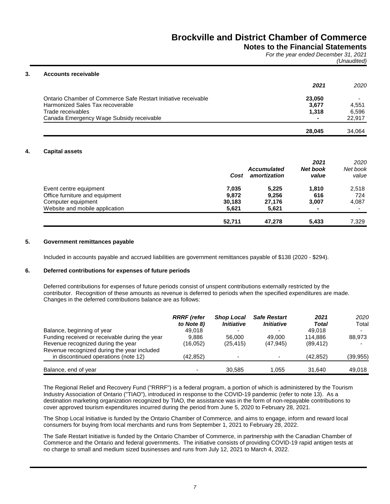### **Notes to the Financial Statements**

*For the year ended December 31, 2021 (Unaudited)*

### **3. Accounts receivable**

|                                                                | 2021   | 2020   |
|----------------------------------------------------------------|--------|--------|
| Ontario Chamber of Commerce Safe Restart Initiative receivable | 23,050 |        |
| Harmonized Sales Tax recoverable                               | 3,677  | 4.551  |
| Trade receivables                                              | 1.318  | 6.596  |
| Canada Emergency Wage Subsidy receivable                       |        | 22.917 |
|                                                                | 28.045 | 34.064 |

### **4. Capital assets**

|                                | Cost   | <b>Accumulated</b><br>amortization | 2021<br><b>Net book</b><br>value | 2020<br>Net book<br>value |
|--------------------------------|--------|------------------------------------|----------------------------------|---------------------------|
| Event centre equipment         | 7,035  | 5,225                              | 1,810                            | 2,518                     |
| Office furniture and equipment | 9,872  | 9,256                              | 616                              | 724                       |
| Computer equipment             | 30,183 | 27.176                             | 3,007                            | 4,087                     |
| Website and mobile application | 5,621  | 5,621                              | $\blacksquare$                   |                           |
|                                | 52.711 | 47.278                             | 5,433                            | 7,329                     |

### **5. Government remittances payable**

Included in accounts payable and accrued liabilities are government remittances payable of \$138 (2020 - \$294).

### **6. Deferred contributions for expenses of future periods**

Deferred contributions for expenses of future periods consist of unspent contributions externally restricted by the contributor. Recognition of these amounts as revenue is deferred to periods when the specified expenditures are made. Changes in the deferred contributions balance are as follows:

|                                                | <b>RRRF</b> (refer<br>to Note 8) | <b>Shop Local</b><br><i><b>Initiative</b></i> | <b>Safe Restart</b><br><b>Initiative</b> | 2021<br>Total | 2020<br>Total |
|------------------------------------------------|----------------------------------|-----------------------------------------------|------------------------------------------|---------------|---------------|
| Balance, beginning of year                     | 49.018                           | $\overline{\phantom{0}}$                      |                                          | 49.018        |               |
| Funding received or receivable during the year | 9.886                            | 56,000                                        | 49.000                                   | 114.886       | 88.973        |
| Revenue recognized during the year             | (16,052)                         | (25, 415)                                     | (47.945)                                 | (89, 412)     |               |
| Revenue recognized during the year included    |                                  |                                               |                                          |               |               |
| in discontinued operations (note 12)           | (42.852)                         | $\overline{\phantom{0}}$                      |                                          | (42.852)      | (39, 955)     |
|                                                |                                  |                                               |                                          |               |               |
| Balance, end of year                           |                                  | 30.585                                        | 1.055                                    | 31.640        | 49.018        |

The Regional Relief and Recovery Fund ("RRRF") is a federal program, a portion of which is administered by the Tourism Industry Association of Ontario ("TIAO"), introduced in response to the COVID-19 pandemic (refer to note 13). As a destination marketing organization recognized by TIAO, the assistance was in the form of non-repayable contributions to cover approved tourism expenditures incurred during the period from June 5, 2020 to February 28, 2021.

The Shop Local Initiative is funded by the Ontario Chamber of Commerce, and aims to engage, inform and reward local consumers for buying from local merchants and runs from September 1, 2021 to February 28, 2022.

The Safe Restart Initiative is funded by the Ontario Chamber of Commerce, in partnership with the Canadian Chamber of Commerce and the Ontario and federal governments. The initiative consists of providing COVID-19 rapid antigen tests at no charge to small and medium sized businesses and runs from July 12, 2021 to March 4, 2022.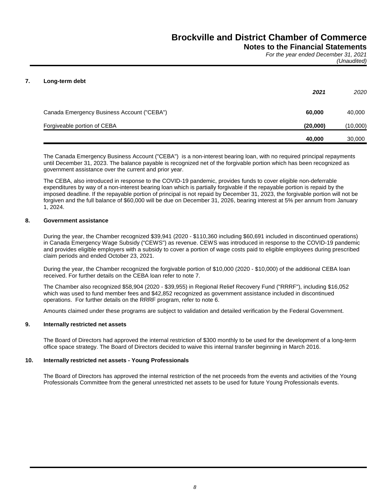### **Notes to the Financial Statements**

*For the year ended December 31, 2021 (Unaudited)*

### **7. Long-term debt**

|                                            | 2021     | 2020     |
|--------------------------------------------|----------|----------|
| Canada Emergency Business Account ("CEBA") | 60,000   | 40,000   |
| Forgiveable portion of CEBA                | (20,000) | (10,000) |
|                                            | 40,000   | 30,000   |

The Canada Emergency Business Account ("CEBA") is a non-interest bearing loan, with no required principal repayments until December 31, 2023. The balance payable is recognized net of the forgivable portion which has been recognized as government assistance over the current and prior year.

The CEBA, also introduced in response to the COVID-19 pandemic, provides funds to cover eligible non-deferrable expenditures by way of a non-interest bearing loan which is partially forgivable if the repayable portion is repaid by the imposed deadline. If the repayable portion of principal is not repaid by December 31, 2023, the forgivable portion will not be forgiven and the full balance of \$60,000 will be due on December 31, 2026, bearing interest at 5% per annum from January 1, 2024.

### **8. Government assistance**

During the year, the Chamber recognized \$39,941 (2020 - \$110,360 including \$60,691 included in discontinued operations) in Canada Emergency Wage Subsidy ("CEWS") as revenue. CEWS was introduced in response to the COVID-19 pandemic and provides eligible employers with a subsidy to cover a portion of wage costs paid to eligible employees during prescribed claim periods and ended October 23, 2021.

During the year, the Chamber recognized the forgivable portion of \$10,000 (2020 - \$10,000) of the additional CEBA loan received. For further details on the CEBA loan refer to note 7.

The Chamber also recognized \$58,904 (2020 - \$39,955) in Regional Relief Recovery Fund ("RRRF"), including \$16,052 which was used to fund member fees and \$42,852 recognized as government assistance included in discontinued operations. For further details on the RRRF program, refer to note 6.

Amounts claimed under these programs are subject to validation and detailed verification by the Federal Government.

### **9. Internally restricted net assets**

The Board of Directors had approved the internal restriction of \$300 monthly to be used for the development of a long-term office space strategy. The Board of Directors decided to waive this internal transfer beginning in March 2016.

### **10. Internally restricted net assets - Young Professionals**

The Board of Directors has approved the internal restriction of the net proceeds from the events and activities of the Young Professionals Committee from the general unrestricted net assets to be used for future Young Professionals events.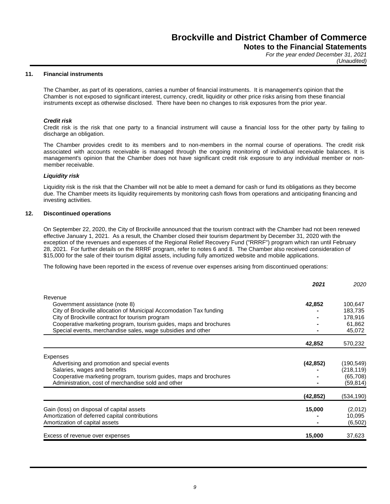*For the year ended December 31, 2021 (Unaudited)*

### **11. Financial instruments**

The Chamber, as part of its operations, carries a number of financial instruments. It is management's opinion that the Chamber is not exposed to significant interest, currency, credit, liquidity or other price risks arising from these financial instruments except as otherwise disclosed. There have been no changes to risk exposures from the prior year.

### *Credit risk*

Credit risk is the risk that one party to a financial instrument will cause a financial loss for the other party by failing to discharge an obligation.

The Chamber provides credit to its members and to non-members in the normal course of operations. The credit risk associated with accounts receivable is managed through the ongoing monitoring of individual receivable balances. It is management's opinion that the Chamber does not have significant credit risk exposure to any individual member or nonmember receivable.

### *Liquidity risk*

Liquidity risk is the risk that the Chamber will not be able to meet a demand for cash or fund its obligations as they become due. The Chamber meets its liquidity requirements by monitoring cash flows from operations and anticipating financing and investing activities.

### **12. Discontinued operations**

On September 22, 2020, the City of Brockville announced that the tourism contract with the Chamber had not been renewed effective January 1, 2021. As a result, the Chamber closed their tourism department by December 31, 2020 with the exception of the revenues and expenses of the Regional Relief Recovery Fund ("RRRF") program which ran until February 28, 2021. For further details on the RRRF program, refer to notes 6 and 8. The Chamber also received consideration of \$15,000 for the sale of their tourism digital assets, including fully amortized website and mobile applications.

The following have been reported in the excess of revenue over expenses arising from discontinued operations:

|                                                                     | 2021      | 2020       |
|---------------------------------------------------------------------|-----------|------------|
| Revenue                                                             |           |            |
| Government assistance (note 8)                                      | 42,852    | 100,647    |
| City of Brockville allocation of Municipal Accomodation Tax funding |           | 183,735    |
| City of Brockville contract for tourism program                     |           | 178,916    |
| Cooperative marketing program, tourism guides, maps and brochures   |           | 61,862     |
| Special events, merchandise sales, wage subsidies and other         |           | 45,072     |
|                                                                     | 42,852    | 570,232    |
| Expenses                                                            |           |            |
| Advertising and promotion and special events                        | (42, 852) | (190, 549) |
| Salaries, wages and benefits                                        |           | (218,119)  |
| Cooperative marketing program, tourism guides, maps and brochures   |           | (65, 708)  |
| Administration, cost of merchandise sold and other                  |           | (59, 814)  |
|                                                                     | (42, 852) | (534,190)  |
| Gain (loss) on disposal of capital assets                           | 15,000    | (2,012)    |
| Amortization of deferred capital contributions                      |           | 10,095     |
| Amortization of capital assets                                      |           | (6, 502)   |
| Excess of revenue over expenses                                     | 15,000    | 37,623     |